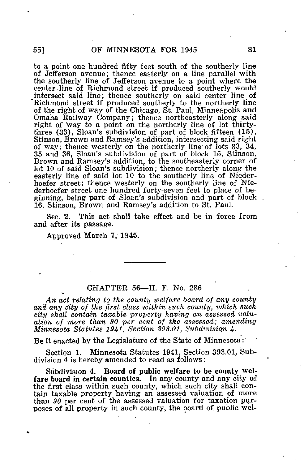to a point one hundred fifty feet south of the southerly line of Jefferson avenue; thence easterly on a line parallel with the southerly line of Jefferson avenue to a point where the center line of Richmond street if produced southerly would \_intersect said line; thence southerly on said center line of Richmond street if produced southerly to the northerly line of the right of way of the Chicago, St. Paul, Minneapolis and Omaha Railway Company; thence northeasterly along said right of way to a point on the northerly line of lot thirtythree (33), Sloan's subdivision of part of block fifteen (15), Stinson, Brown and Ramsey's addition, intersecting said right of way; thence westerly on the northerly line of lots 33, 34, 35 and 36, Sloan's subdivision of part of block 15, Stinson, Brown and Ramsey's addition, to the southeasterly corner of lot 10 of said Sloan's subdivision; thence northerly along the easterly line of said lot 10 to the southerly line of Niederhoefer street; thence westerly on the southerly line of Niederhoefer street one hundred forty-seven feet to place of beginning, being part of Sloan's subdivision and part of block 16, Stinson, Brown and Ramsey's addition to St. Paul.

Sec. 2. This act shall take effect and be in force from and after its passage.

Approved March 7, 1945.

## CHAPTER 56—H. F. No. 286

An act relating to the county ivelfare board of any county and any city of the first class within such county, which such city shall contain taxable property having an assessed valuation of more than 90 per cent of the assessed; amending Minnesota Statutes 1941, Section 393.01, Subdivision 4.

Be it enacted by the Legislature of the State of Minnesota :'

Section 1. Minnesota Statutes 1941, Section 393.01, Subdivision 4 is hereby amended to read as follows:

Subdivision 4. Board of public welfare to be county welfare board in certain counties. In any county and any city of the first class within such county, which such city shall contain taxable property having an assessed valuation of more than 90 per cent of the assessed valuation for taxation purposes of all property in such county, the board of public wel-